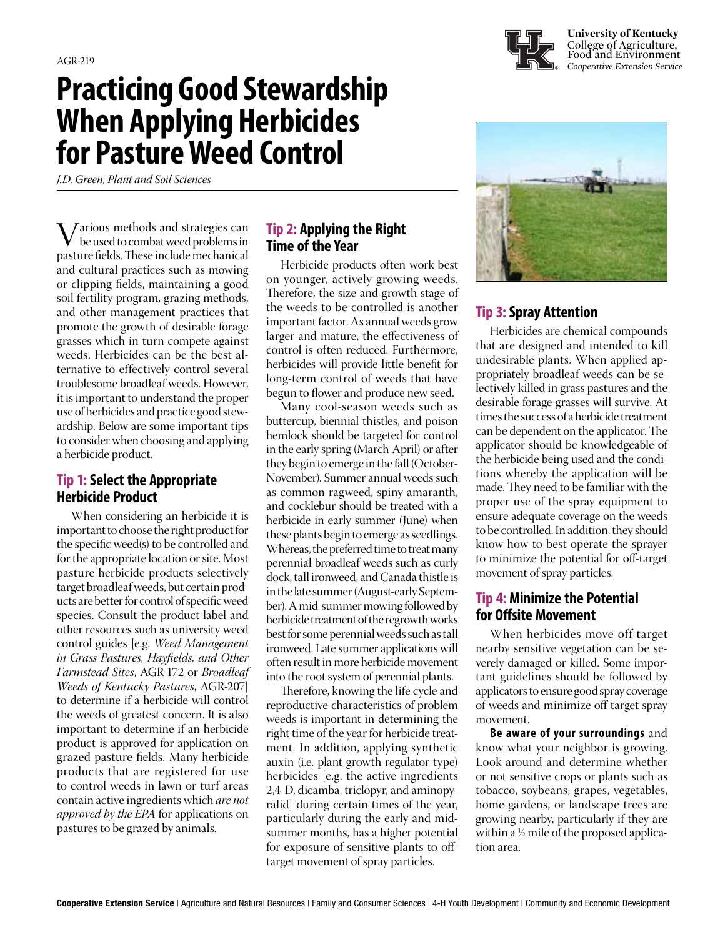# **Practicing Good Stewardship When Applying Herbicides for Pasture Weed Control**

*J.D. Green, Plant and Soil Sciences*

Various methods and strategies can be used to combat weed problems in pasture fields. These include mechanical and cultural practices such as mowing or clipping fields, maintaining a good soil fertility program, grazing methods, and other management practices that promote the growth of desirable forage grasses which in turn compete against weeds. Herbicides can be the best alternative to effectively control several troublesome broadleaf weeds. However, it is important to understand the proper use of herbicides and practice good stewardship. Below are some important tips to consider when choosing and applying a herbicide product.

# **Tip 1: Select the Appropriate Herbicide Product**

When considering an herbicide it is important to choose the right product for the specific weed(s) to be controlled and for the appropriate location or site. Most pasture herbicide products selectively target broadleaf weeds, but certain products are better for control of specific weed species. Consult the product label and other resources such as university weed control guides [e.g. *Weed Management in Grass Pastures, Hayfields, and Other Farmstead Sites*, AGR-172 or *Broadleaf Weeds of Kentucky Pastures*, AGR-207] to determine if a herbicide will control the weeds of greatest concern. It is also important to determine if an herbicide product is approved for application on grazed pasture fields. Many herbicide products that are registered for use to control weeds in lawn or turf areas contain active ingredients which *are not approved by the EPA* for applications on pastures to be grazed by animals.

### **Tip 2: Applying the Right Time of the Year**

Herbicide products often work best on younger, actively growing weeds. Therefore, the size and growth stage of the weeds to be controlled is another important factor. As annual weeds grow larger and mature, the effectiveness of control is often reduced. Furthermore, herbicides will provide little benefit for long-term control of weeds that have begun to flower and produce new seed.

Many cool-season weeds such as buttercup, biennial thistles, and poison hemlock should be targeted for control in the early spring (March-April) or after they begin to emerge in the fall (October-November). Summer annual weeds such as common ragweed, spiny amaranth, and cocklebur should be treated with a herbicide in early summer (June) when these plants begin to emerge as seedlings. Whereas, the preferred time to treat many perennial broadleaf weeds such as curly dock, tall ironweed, and Canada thistle is in the late summer (August-early September). A mid-summer mowing followed by herbicide treatment of the regrowth works best for some perennial weeds such as tall ironweed. Late summer applications will often result in more herbicide movement into the root system of perennial plants.

Therefore, knowing the life cycle and reproductive characteristics of problem weeds is important in determining the right time of the year for herbicide treatment. In addition, applying synthetic auxin (i.e. plant growth regulator type) herbicides [e.g. the active ingredients 2,4-D, dicamba, triclopyr, and aminopyralid] during certain times of the year, particularly during the early and midsummer months, has a higher potential for exposure of sensitive plants to offtarget movement of spray particles.



# **Tip 3: Spray Attention**

Herbicides are chemical compounds that are designed and intended to kill undesirable plants. When applied appropriately broadleaf weeds can be selectively killed in grass pastures and the desirable forage grasses will survive. At times the success of a herbicide treatment can be dependent on the applicator. The applicator should be knowledgeable of the herbicide being used and the conditions whereby the application will be made. They need to be familiar with the proper use of the spray equipment to ensure adequate coverage on the weeds to be controlled. In addition, they should know how to best operate the sprayer to minimize the potential for off-target movement of spray particles.

#### **Tip 4: Minimize the Potential for Offsite Movement**

When herbicides move off-target nearby sensitive vegetation can be severely damaged or killed. Some important guidelines should be followed by applicators to ensure good spray coverage of weeds and minimize off-target spray movement.

**Be aware of your surroundings** and know what your neighbor is growing. Look around and determine whether or not sensitive crops or plants such as tobacco, soybeans, grapes, vegetables, home gardens, or landscape trees are growing nearby, particularly if they are within a ½ mile of the proposed application area.